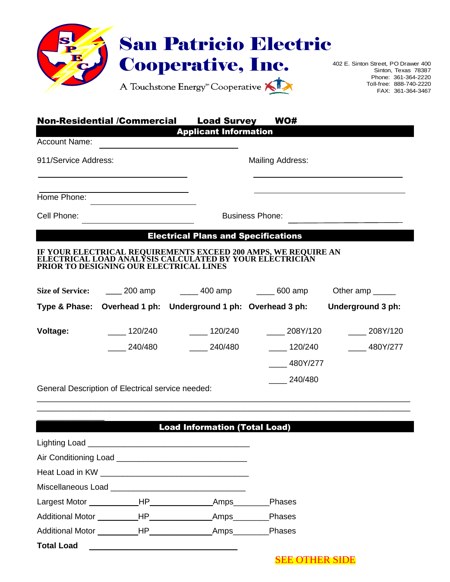

Sinton, Texas 78387 Phone: 361-364-2220 Toll-free: 888-740-2220 FAX: 361-364-3467

| <b>Non-Residential /Commercial</b><br><b>Load Survey</b> |
|----------------------------------------------------------|
|----------------------------------------------------------|

Applicant Information

Account Name:

911/Service Address: Mailing Address:

Home Phone:

\_\_\_\_\_\_\_\_\_\_\_\_\_\_\_

Cell Phone: **Business Phone:** 

## Electrical Plans and Specifications

## **IF YOUR ELECTRICAL REQUIREMENTS EXCEED 200 AMPS, WE REQUIRE AN ELECTRICAL LOAD ANALYSIS CALCULATED BY YOUR ELECTRICIAN PRIOR TO DESIGNING OUR ELECTRICAL LINES**

| <b>Size of Service:</b> | $200$ amp                                         | 400 amp                                                       | 600 amp  | Other amp         |
|-------------------------|---------------------------------------------------|---------------------------------------------------------------|----------|-------------------|
|                         |                                                   | Type & Phase: Overhead 1 ph: Underground 1 ph: Overhead 3 ph: |          | Underground 3 ph: |
| Voltage:                | 120/240                                           | 120/240                                                       | 208Y/120 | 208Y/120          |
|                         | 240/480                                           | 240/480                                                       | 120/240  | 480Y/277          |
|                         |                                                   |                                                               | 480Y/277 |                   |
|                         |                                                   |                                                               | 240/480  |                   |
|                         | General Description of Electrical service needed: |                                                               |          |                   |

General Description of Electrical service needed:

## Load Information (Total Load)

\_\_\_\_\_\_\_\_\_\_\_\_\_\_\_\_\_\_\_\_\_\_\_\_\_\_\_\_\_\_\_\_\_\_\_\_\_\_\_\_\_\_\_\_\_\_\_\_\_\_\_\_\_\_\_\_\_\_\_\_\_\_\_\_\_\_\_\_\_\_\_\_\_\_\_\_\_\_\_\_\_\_\_ \_\_\_\_\_\_\_\_\_\_\_\_\_\_\_\_\_\_\_\_\_\_\_\_\_\_\_\_\_\_\_\_\_\_\_\_\_\_\_\_\_\_\_\_\_\_\_\_\_\_\_\_\_\_\_\_\_\_\_\_\_\_\_\_\_\_\_\_\_\_\_\_\_\_\_\_\_\_\_\_\_\_\_

| Largest Motor _______________HP____________ |  | $\sqrt{2}$ Amps | Phases |  |
|---------------------------------------------|--|-----------------|--------|--|
| Additional Motor ___________HP___________   |  | _Amps________   | Phases |  |
|                                             |  |                 | Phases |  |
| <b>Total Load</b>                           |  |                 |        |  |

SEE OTHER SIDE